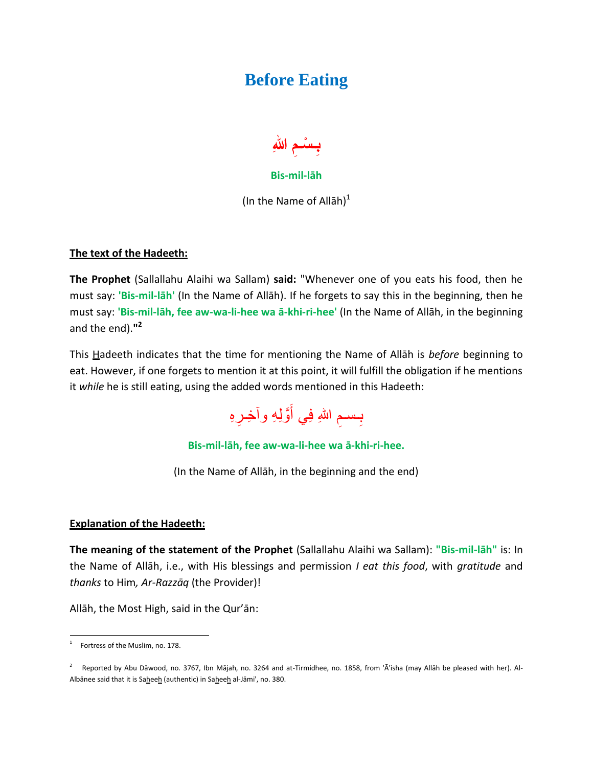## **Before Eating**



## **Bis-mil-lāh**

(In the Name of Allah) $<sup>1</sup>$ </sup>

## **The text of the Hadeeth:**

**The Prophet** (Sallallahu Alaihi wa Sallam) **said:** "Whenever one of you eats his food, then he must say: **'Bis-mil-lāh'** (In the Name of Allāh). If he forgets to say this in the beginning, then he must say: **'Bis-mil-lāh, fee aw-wa-li-hee wa ā-khi-ri-hee'** (In the Name of Allāh, in the beginning and the end).**" 2**

This Hadeeth indicates that the time for mentioning the Name of Allāh is *before* beginning to eat. However, if one forgets to mention it at this point, it will fulfill the obligation if he mentions it *while* he is still eating, using the added words mentioned in this Hadeeth:



**Bis-mil-lāh, fee aw-wa-li-hee wa ā-khi-ri-hee.**

(In the Name of Allāh, in the beginning and the end)

## **Explanation of the Hadeeth:**

**The meaning of the statement of the Prophet** (Sallallahu Alaihi wa Sallam): **"Bis-mil-lāh"** is: In the Name of Allāh, i.e., with His blessings and permission *I eat this food*, with *gratitude* and *thanks* to Him*, Ar-Razzāq* (the Provider)!

Allāh, the Most High, said in the Qur'ān:

 $\frac{1}{1}$ Fortress of the Muslim, no. 178.

<sup>2</sup> Reported by Abu Dāwood, no. 3767, Ibn Mājah, no. 3264 and at-Tirmidhee, no. 1858, from 'Ā'isha (may Allāh be pleased with her). Al-Albānee said that it is Saheeh (authentic) in Saheeh al-Jāmi', no. 380.